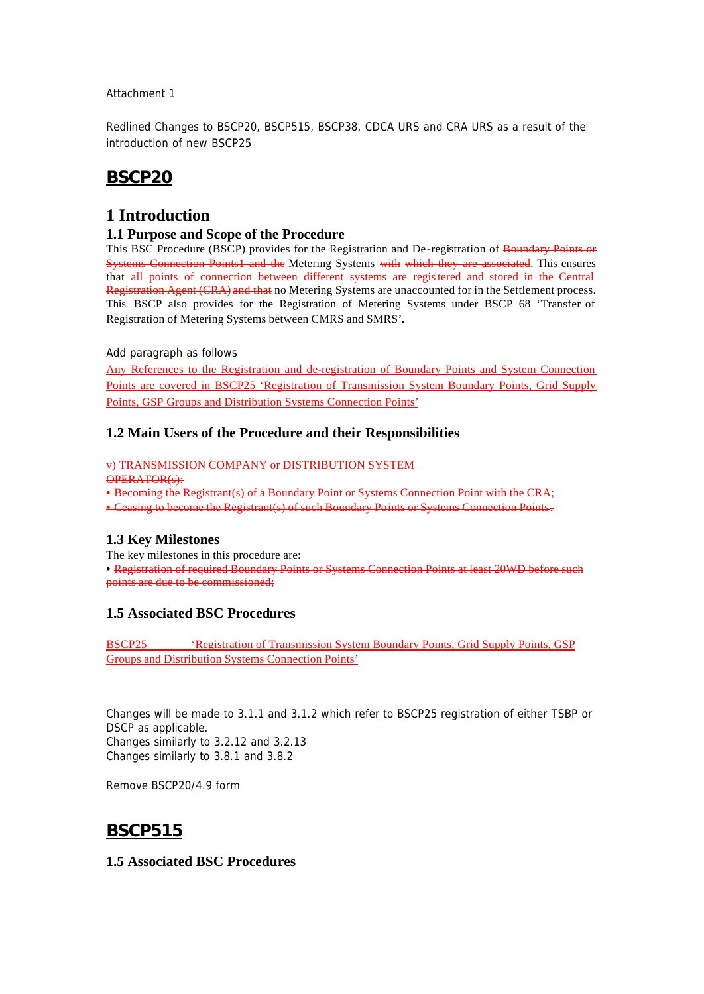#### Attachment 1

Redlined Changes to BSCP20, BSCP515, BSCP38, CDCA URS and CRA URS as a result of the introduction of new BSCP25

# **BSCP20**

## **1 Introduction**

#### **1.1 Purpose and Scope of the Procedure**

This BSC Procedure (BSCP) provides for the Registration and De-registration of Boundary Points or Systems Connection Points1 and the Metering Systems with which they are associated. This ensures that all points of connection between different systems are registered and stored in the Central Registration Agent (CRA) and that no Metering Systems are unaccounted for in the Settlement process. This BSCP also provides for the Registration of Metering Systems under BSCP 68 'Transfer of Registration of Metering Systems between CMRS and SMRS'.

#### *Add paragraph as follows*

Any References to the Registration and de-registration of Boundary Points and System Connection Points are covered in BSCP25 'Registration of Transmission System Boundary Points, Grid Supply Points, GSP Groups and Distribution Systems Connection Points'

### **1.2 Main Users of the Procedure and their Responsibilities**

v) TRANSMISSION COMPANY or DISTRIBUTION SYSTEM OPERATOR(s): • Becoming the Registrant(s) of a Boundary Point or Systems Connection Point with the CRA;

• Ceasing to become the Registrant(s) of such Boundary Points or Systems Connection Points.

### **1.3 Key Milestones**

The key milestones in this procedure are:

• Registration of required Boundary Points or Systems Connection Points at least 20WD before such points are due to be commissioned;

### **1.5 Associated BSC Procedures**

BSCP25 'Registration of Transmission System Boundary Points, Grid Supply Points, GSP Groups and Distribution Systems Connection Points'

Changes will be made to 3.1.1 and 3.1.2 which refer to BSCP25 registration of either TSBP or DSCP as applicable. Changes similarly to 3.2.12 and 3.2.13 Changes similarly to 3.8.1 and 3.8.2

Remove BSCP20/4.9 form

# **BSCP515**

### **1.5 Associated BSC Procedures**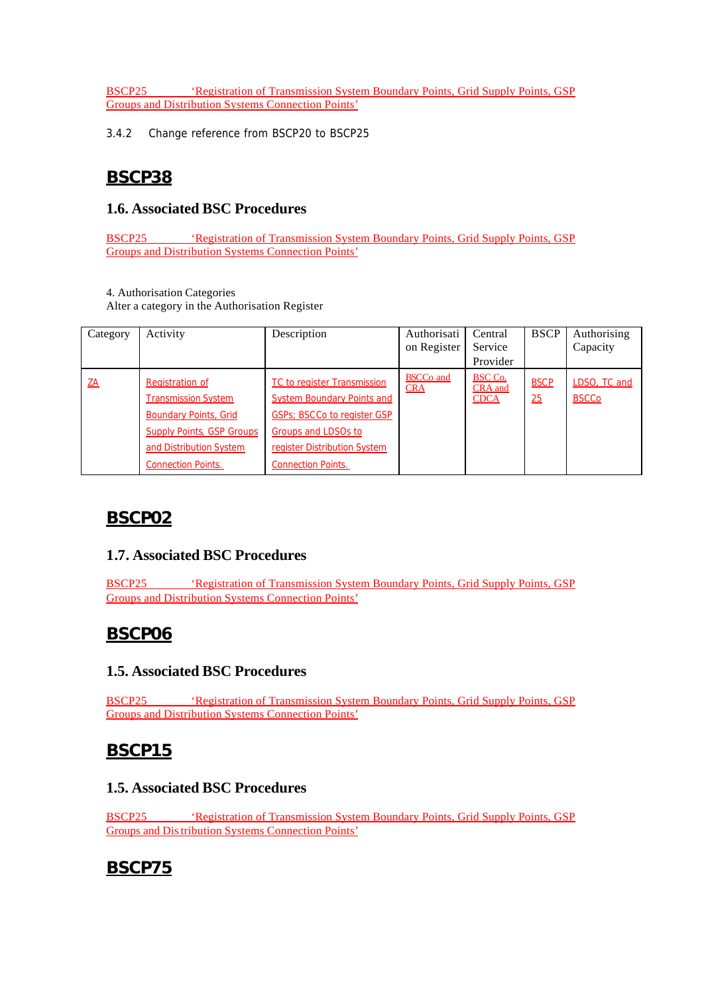BSCP25 'Registration of Transmission System Boundary Points, Grid Supply Points, GSP Groups and Distribution Systems Connection Points'

3.4.2 Change reference from BSCP20 to BSCP25

# **BSCP38**

## **1.6. Associated BSC Procedures**

BSCP25 'Registration of Transmission System Boundary Points, Grid Supply Points, GSP Groups and Distribution Systems Connection Points'

4. Authorisation Categories

Alter a category in the Authorisation Register

| Category  | Activity                                                                                                                                                                         | Description                                                                                                                                                                                        | Authorisati<br>on Register     | Central<br>Service<br>Provider                  | <b>BSCP</b>       | Authorising<br>Capacity      |
|-----------|----------------------------------------------------------------------------------------------------------------------------------------------------------------------------------|----------------------------------------------------------------------------------------------------------------------------------------------------------------------------------------------------|--------------------------------|-------------------------------------------------|-------------------|------------------------------|
| <u>ZA</u> | <b>Registration of</b><br><b>Transmission System</b><br><b>Boundary Points, Grid</b><br><b>Supply Points, GSP Groups</b><br>and Distribution System<br><b>Connection Points.</b> | <b>TC to register Transmission</b><br><b>System Boundary Points and</b><br><b>GSPs</b> ; BSCCo to register GSP<br>Groups and LDSOs to<br>register Distribution System<br><b>Connection Points.</b> | <b>BSCCo</b> and<br><b>CRA</b> | <b>BSC Co.</b><br><b>CRA</b> and<br><b>CDCA</b> | <b>BSCP</b><br>25 | LDSO, TC and<br><b>BSCCo</b> |

# **BSCP02**

## **1.7. Associated BSC Procedures**

BSCP25 'Registration of Transmission System Boundary Points, Grid Supply Points, GSP Groups and Distribution Systems Connection Points'

# **BSCP06**

## **1.5. Associated BSC Procedures**

BSCP25 'Registration of Transmission System Boundary Points, Grid Supply Points, GSP Groups and Distribution Systems Connection Points'

# **BSCP15**

### **1.5. Associated BSC Procedures**

BSCP25 'Registration of Transmission System Boundary Points, Grid Supply Points, GSP Groups and Distribution Systems Connection Points'